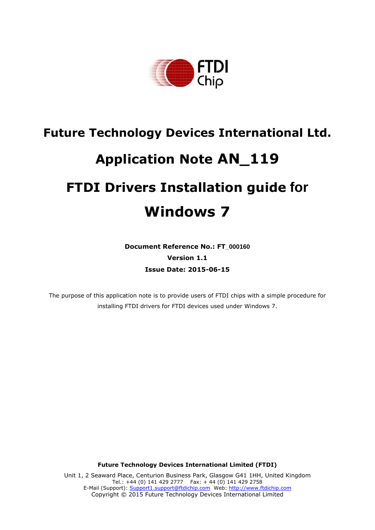

# **Future Technology Devices International Ltd. Application Note AN\_119 FTDI Drivers Installation guide for Windows 7**

**Document Reference No.: FT\_000160 Version 1.1 Issue Date: 2015-06-15**

The purpose of this application note is to provide users of FTDI chips with a simple procedure for installing FTDI drivers for FTDI devices used under Windows 7.

**Future Technology Devices International Limited (FTDI)**

Unit 1, 2 Seaward Place, Centurion Business Park, Glasgow G41 1HH, United Kingdom Tel.: +44 (0) 141 429 2777 Fax: + 44 (0) 141 429 2758 E-Mail (Support): [Support1.support@ftdichip.com](mailto:Support1.support@ftdichip.com) Web: [http://www.ftdichip.com](http://www.ftdichip.com/) Copyright © 2015 Future Technology Devices International Limited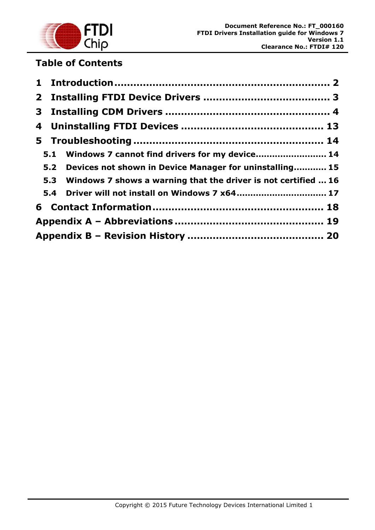

# **Table of Contents**

|  | 5.1 Windows 7 cannot find drivers for my device 14                 |  |
|--|--------------------------------------------------------------------|--|
|  | 5.2 Devices not shown in Device Manager for uninstalling 15        |  |
|  | 5.3 Windows 7 shows a warning that the driver is not certified  16 |  |
|  | 5.4 Driver will not install on Windows 7 x64 17                    |  |
|  |                                                                    |  |
|  |                                                                    |  |
|  |                                                                    |  |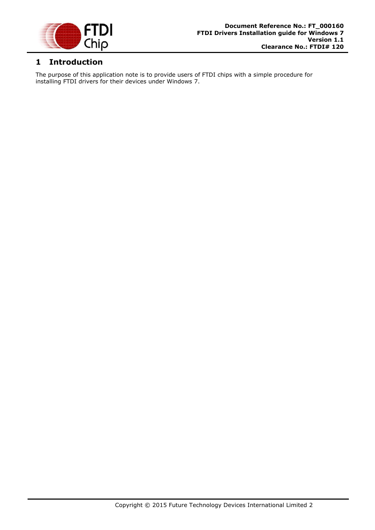

## <span id="page-2-0"></span>**1 Introduction**

The purpose of this application note is to provide users of FTDI chips with a simple procedure for installing FTDI drivers for their devices under Windows 7.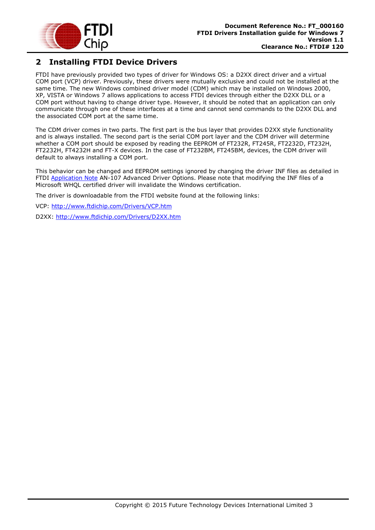

## <span id="page-3-0"></span>**2 Installing FTDI Device Drivers**

FTDI have previously provided two types of driver for Windows OS: a D2XX direct driver and a virtual COM port (VCP) driver. Previously, these drivers were mutually exclusive and could not be installed at the same time. The new Windows combined driver model (CDM) which may be installed on Windows 2000, XP, VISTA or Windows 7 allows applications to access FTDI devices through either the D2XX DLL or a COM port without having to change driver type. However, it should be noted that an application can only communicate through one of these interfaces at a time and cannot send commands to the D2XX DLL and the associated COM port at the same time.

The CDM driver comes in two parts. The first part is the bus layer that provides D2XX style functionality and is always installed. The second part is the serial COM port layer and the CDM driver will determine whether a COM port should be exposed by reading the EEPROM of FT232R, FT245R, FT2232D, FT232H, FT2232H, FT4232H and FT-X devices. In the case of FT232BM, FT245BM, devices, the CDM driver will default to always installing a COM port.

This behavior can be changed and EEPROM settings ignored by changing the driver INF files as detailed in FTDI [Application Note](http://www.ftdichip.com/Support/Documents/AppNotes.htm) AN-107 Advanced Driver Options. Please note that modifying the INF files of a Microsoft WHQL certified driver will invalidate the Windows certification.

The driver is downloadable from the FTDI website found at the following links:

VCP:<http://www.ftdichip.com/Drivers/VCP.htm>

D2XX:<http://www.ftdichip.com/Drivers/D2XX.htm>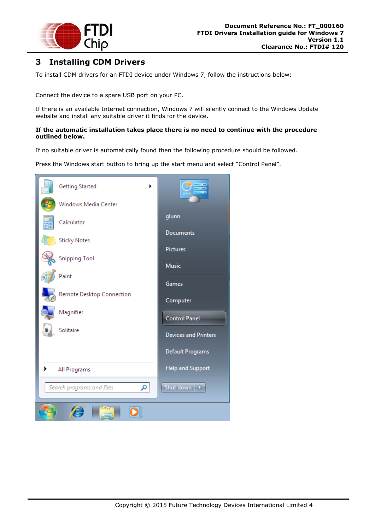

## <span id="page-4-0"></span>**3 Installing CDM Drivers**

To install CDM drivers for an FTDI device under Windows 7, follow the instructions below:

Connect the device to a spare USB port on your PC.

If there is an available Internet connection, Windows 7 will silently connect to the Windows Update website and install any suitable driver it finds for the device.

#### **If the automatic installation takes place there is no need to continue with the procedure outlined below.**

If no suitable driver is automatically found then the following procedure should be followed.

Press the Windows start button to bring up the start menu and select "Control Panel".

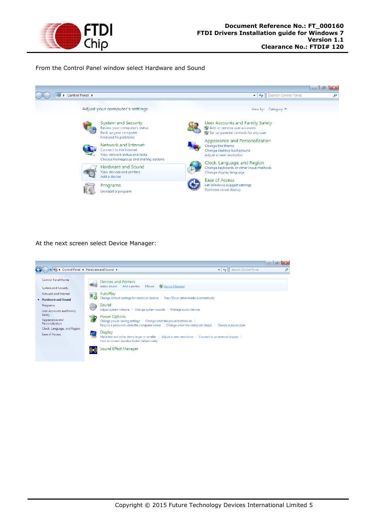

From the Control Panel window select Hardware and Sound



At the next screen select Device Manager:

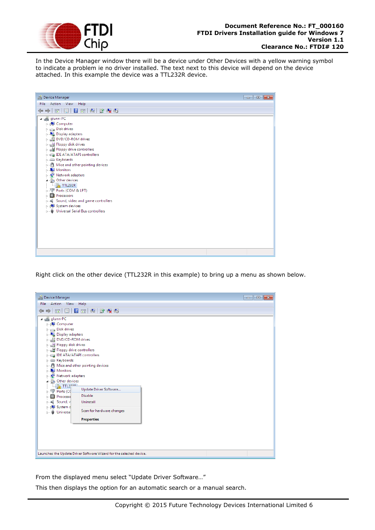

In the Device Manager window there will be a device under Other Devices with a yellow warning symbol to indicate a problem ie no driver installed. The text next to this device will depend on the device attached. In this example the device was a TTL232R device.

| Device Manager<br>$\begin{array}{c c c c c c} \hline \multicolumn{3}{c }{\mathbf{C}} & \multicolumn{3}{c }{\mathbf{C}} & \multicolumn{3}{c }{\mathbf{X}} \end{array}$                                                                                                                                                                                                                                                                                                                                                                                             |  |  |  |  |
|-------------------------------------------------------------------------------------------------------------------------------------------------------------------------------------------------------------------------------------------------------------------------------------------------------------------------------------------------------------------------------------------------------------------------------------------------------------------------------------------------------------------------------------------------------------------|--|--|--|--|
| File Action View Help                                                                                                                                                                                                                                                                                                                                                                                                                                                                                                                                             |  |  |  |  |
| $\Leftrightarrow$ $\Box$ $\Box$ $\Box$ $\Box$ $\Box$ $\Box$ $\Box$<br>⇔                                                                                                                                                                                                                                                                                                                                                                                                                                                                                           |  |  |  |  |
| a diglunn-PC<br><b>Defined</b> Computer<br>Disk drives<br><b>Display adapters</b><br>DVD/CD-ROM drives<br>> all Floppy disk drives<br>D : <sub>도</sub> 를 Floppy drive controllers<br><b>DE ATA/ATAPI controllers</b><br>> Evboards<br>$\triangleright$ $\cdot$ $\blacksquare$ Mice and other pointing devices<br>Monitors<br>Network adapters<br>4 . (b) Other devices<br>$\Box$ M <sub>R</sub> TTL232R<br><b>D. 零 Ports (COM &amp; LPT)</b><br>Processors<br>> = Sound, video and game controllers<br>> - System devices<br>> . Universal Serial Bus controllers |  |  |  |  |
|                                                                                                                                                                                                                                                                                                                                                                                                                                                                                                                                                                   |  |  |  |  |
|                                                                                                                                                                                                                                                                                                                                                                                                                                                                                                                                                                   |  |  |  |  |

Right click on the other device (TTL232R in this example) to bring up a menu as shown below.



From the displayed menu select "Update Driver Software…"

This then displays the option for an automatic search or a manual search.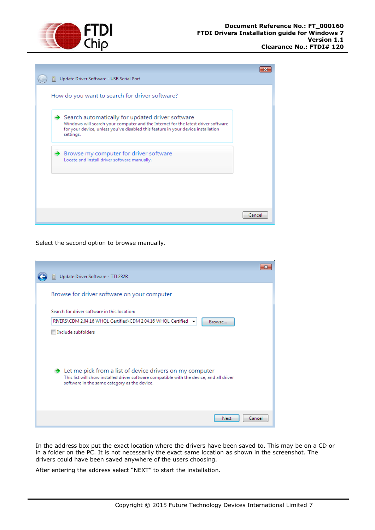

|  | Update Driver Software - USB Serial Port                                                                                                                                                                                                             |        |
|--|------------------------------------------------------------------------------------------------------------------------------------------------------------------------------------------------------------------------------------------------------|--------|
|  | How do you want to search for driver software?                                                                                                                                                                                                       |        |
|  | $\rightarrow$ Search automatically for updated driver software<br>Windows will search your computer and the Internet for the latest driver software<br>for your device, unless you've disabled this feature in your device installation<br>settings. |        |
|  | $\rightarrow$ Browse my computer for driver software<br>Locate and install driver software manually.                                                                                                                                                 |        |
|  |                                                                                                                                                                                                                                                      |        |
|  |                                                                                                                                                                                                                                                      | Cancel |

Select the second option to browse manually.

| Update Driver Software - TTL232R                                                                                                                                                                                   |        |
|--------------------------------------------------------------------------------------------------------------------------------------------------------------------------------------------------------------------|--------|
| Browse for driver software on your computer                                                                                                                                                                        |        |
| Search for driver software in this location:                                                                                                                                                                       |        |
| RIVERS\CDM 2.04.16 WHQL Certified\CDM 2.04.16 WHQL Certified →<br>Browse                                                                                                                                           |        |
| Include subfolders                                                                                                                                                                                                 |        |
| $\rightarrow$ Let me pick from a list of device drivers on my computer<br>This list will show installed driver software compatible with the device, and all driver<br>software in the same category as the device. |        |
| Next                                                                                                                                                                                                               | Cancel |

In the address box put the exact location where the drivers have been saved to. This may be on a CD or in a folder on the PC. It is not necessarily the exact same location as shown in the screenshot. The drivers could have been saved anywhere of the users choosing.

After entering the address select "NEXT" to start the installation.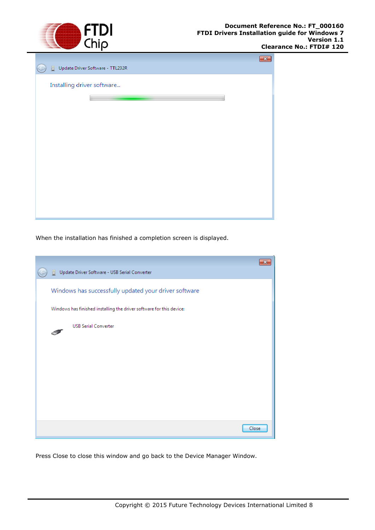

|                            | 23                               |  |
|----------------------------|----------------------------------|--|
| o                          | Update Driver Software - TTL232R |  |
| Installing driver software |                                  |  |
|                            |                                  |  |
|                            |                                  |  |
|                            |                                  |  |
|                            |                                  |  |
|                            |                                  |  |
|                            |                                  |  |
|                            |                                  |  |
|                            |                                  |  |
|                            |                                  |  |
|                            |                                  |  |
|                            |                                  |  |

When the installation has finished a completion screen is displayed.

| Update Driver Software - USB Serial Converter<br>m.                  |  |
|----------------------------------------------------------------------|--|
| Windows has successfully updated your driver software                |  |
| Windows has finished installing the driver software for this device: |  |
| <b>USB Serial Converter</b>                                          |  |
|                                                                      |  |
|                                                                      |  |
|                                                                      |  |
|                                                                      |  |
|                                                                      |  |
| Close                                                                |  |

Press Close to close this window and go back to the Device Manager Window.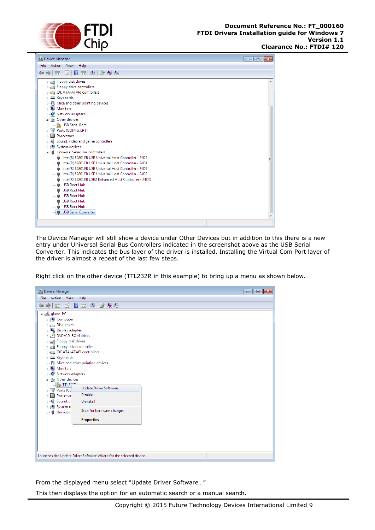



The Device Manager will still show a device under Other Devices but in addition to this there is a new entry under Universal Serial Bus Controllers indicated in the screenshot above as the USB Serial Converter. This indicates the bus layer of the driver is installed. Installing the Virtual Com Port layer of the driver is almost a repeat of the last few steps.

Right click on the other device (TTL232R in this example) to bring up a menu as shown below.



From the displayed menu select "Update Driver Software…"

This then displays the option for an automatic search or a manual search.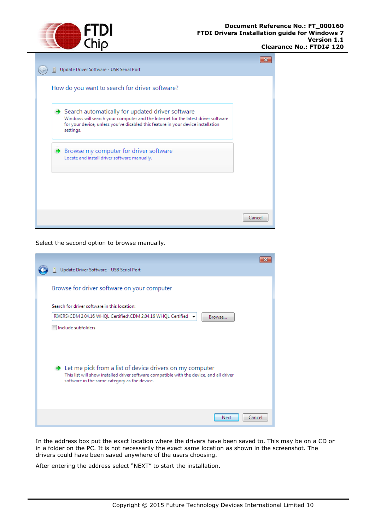

| How do you want to search for driver software?                                                                                                                                                                                         |  |
|----------------------------------------------------------------------------------------------------------------------------------------------------------------------------------------------------------------------------------------|--|
| Search automatically for updated driver software<br>Windows will search your computer and the Internet for the latest driver software<br>for your device, unless you've disabled this feature in your device installation<br>settings. |  |
| Browse my computer for driver software<br>Locate and install driver software manually.                                                                                                                                                 |  |
|                                                                                                                                                                                                                                        |  |

Select the second option to browse manually.

| Update Driver Software - USB Serial Port                                                                                                                                                                           |
|--------------------------------------------------------------------------------------------------------------------------------------------------------------------------------------------------------------------|
| Browse for driver software on your computer                                                                                                                                                                        |
| Search for driver software in this location:                                                                                                                                                                       |
| RIVERS\CDM 2.04.16 WHQL Certified\CDM 2.04.16 WHQL Certified →<br>Browse                                                                                                                                           |
| Include subfolders                                                                                                                                                                                                 |
| $\rightarrow$ Let me pick from a list of device drivers on my computer<br>This list will show installed driver software compatible with the device, and all driver<br>software in the same category as the device. |
| Cancel<br>Next                                                                                                                                                                                                     |

In the address box put the exact location where the drivers have been saved to. This may be on a CD or in a folder on the PC. It is not necessarily the exact same location as shown in the screenshot. The drivers could have been saved anywhere of the users choosing.

After entering the address select "NEXT" to start the installation.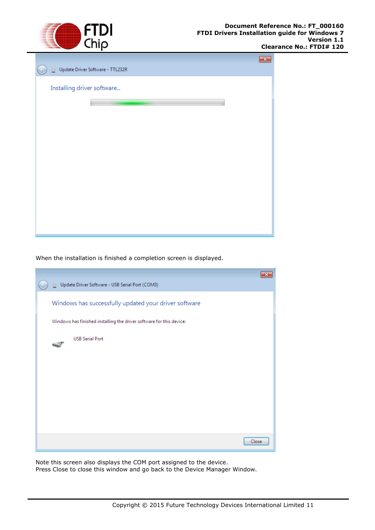

| ▯                          | Update Driver Software - TTL232R | $\mathbf{x}$ |
|----------------------------|----------------------------------|--------------|
| Installing driver software |                                  |              |
|                            |                                  |              |
|                            |                                  |              |
|                            |                                  |              |
|                            |                                  |              |
|                            |                                  |              |
|                            |                                  |              |
|                            |                                  |              |

When the installation is finished a completion screen is displayed.

| Update Driver Software - USB Serial Port (COM3)<br>n.                |       |
|----------------------------------------------------------------------|-------|
| Windows has successfully updated your driver software                |       |
| Windows has finished installing the driver software for this device: |       |
| <b>USB Serial Port</b>                                               |       |
|                                                                      |       |
|                                                                      |       |
|                                                                      |       |
|                                                                      |       |
|                                                                      | Close |

Note this screen also displays the COM port assigned to the device. Press Close to close this window and go back to the Device Manager Window.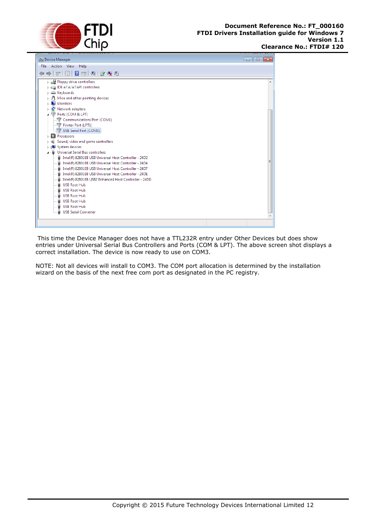



This time the Device Manager does not have a TTL232R entry under Other Devices but does show entries under Universal Serial Bus Controllers and Ports (COM & LPT). The above screen shot displays a correct installation. The device is now ready to use on COM3.

NOTE: Not all devices will install to COM3. The COM port allocation is determined by the installation wizard on the basis of the next free com port as designated in the PC registry.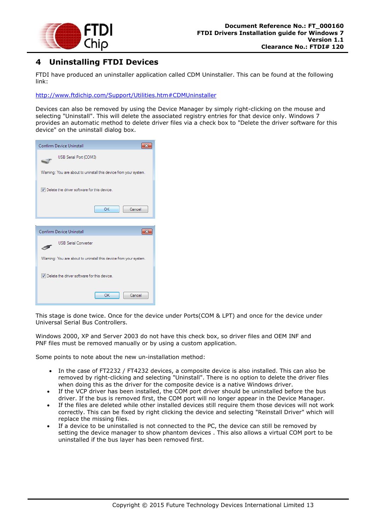

## <span id="page-13-0"></span>**4 Uninstalling FTDI Devices**

FTDI have produced an uninstaller application called CDM Uninstaller. This can be found at the following link:

<http://www.ftdichip.com/Support/Utilities.htm#CDMUninstaller>

Devices can also be removed by using the Device Manager by simply right-clicking on the mouse and selecting "Uninstall". This will delete the associated registry entries for that device only. Windows 7 provides an automatic method to delete driver files via a check box to "Delete the driver software for this device" on the uninstall dialog box.

| <b>Confirm Device Uninstall</b>                                  |  |  |  |
|------------------------------------------------------------------|--|--|--|
| USB Serial Port (COM3)                                           |  |  |  |
| Waming: You are about to uninstall this device from your system. |  |  |  |
| V Delete the driver software for this device.                    |  |  |  |
| OK<br>Cancel                                                     |  |  |  |
|                                                                  |  |  |  |
|                                                                  |  |  |  |
| <b>Confirm Device Uninstall</b>                                  |  |  |  |
| <b>USB Serial Converter</b>                                      |  |  |  |
| Waming: You are about to uninstall this device from your system. |  |  |  |
| V Delete the driver software for this device.                    |  |  |  |

This stage is done twice. Once for the device under Ports(COM & LPT) and once for the device under Universal Serial Bus Controllers.

Windows 2000, XP and Server 2003 do not have this check box, so driver files and OEM INF and PNF files must be removed manually or by using a custom application.

Some points to note about the new un-installation method:

- In the case of FT2232 / FT4232 devices, a composite device is also installed. This can also be removed by right-clicking and selecting "Uninstall". There is no option to delete the driver files when doing this as the driver for the composite device is a native Windows driver.
- If the VCP driver has been installed, the COM port driver should be uninstalled before the bus driver. If the bus is removed first, the COM port will no longer appear in the Device Manager.
- If the files are deleted while other installed devices still require them those devices will not work correctly. This can be fixed by right clicking the device and selecting "Reinstall Driver" which will replace the missing files.
- If a device to be uninstalled is not connected to the PC, the device can still be removed by setting the device manager to show phantom devices . This also allows a virtual COM port to be uninstalled if the bus layer has been removed first.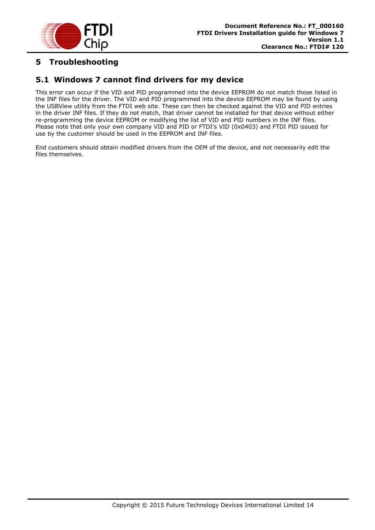

## <span id="page-14-0"></span>**5 Troubleshooting**

### <span id="page-14-1"></span>**5.1 Windows 7 cannot find drivers for my device**

This error can occur if the VID and PID programmed into the device EEPROM do not match those listed in the INF files for the driver. The VID and PID programmed into the device EEPROM may be found by using the USBView utility from the FTDI web site. These can then be checked against the VID and PID entries in the driver INF files. If they do not match, that driver cannot be installed for that device without either re-programming the device EEPROM or modifying the list of VID and PID numbers in the INF files. Please note that only your own company VID and PID or FTDI's VID (0x0403) and FTDI PID issued for use by the customer should be used in the EEPROM and INF files.

End customers should obtain modified drivers from the OEM of the device, and not necessarily edit the files themselves.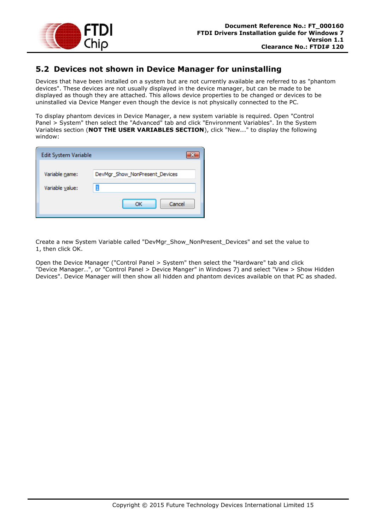

### <span id="page-15-0"></span>**5.2 Devices not shown in Device Manager for uninstalling**

Devices that have been installed on a system but are not currently available are referred to as "phantom devices". These devices are not usually displayed in the device manager, but can be made to be displayed as though they are attached. This allows device properties to be changed or devices to be uninstalled via Device Manger even though the device is not physically connected to the PC.

To display phantom devices in Device Manager, a new system variable is required. Open "Control Panel > System" then select the "Advanced" tab and click "Environment Variables". In the System Variables section (**NOT THE USER VARIABLES SECTION**), click "New..." to display the following window:

| Edit System Variable |                                |
|----------------------|--------------------------------|
| Variable name:       | DevMgr_Show_NonPresent_Devices |
| Variable value:      |                                |
|                      | Cancel<br>ОК                   |

Create a new System Variable called "DevMgr\_Show\_NonPresent\_Devices" and set the value to 1, then click OK.

Open the Device Manager ("Control Panel > System" then select the "Hardware" tab and click "Device Manager…", or "Control Panel > Device Manger" in Windows 7) and select "View > Show Hidden Devices". Device Manager will then show all hidden and phantom devices available on that PC as shaded.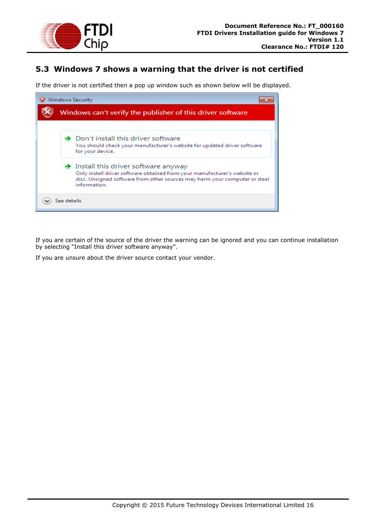

### <span id="page-16-0"></span>**5.3 Windows 7 shows a warning that the driver is not certified**

If the driver is not certified then a pop up window such as shown below will be displayed.



If you are certain of the source of the driver the warning can be ignored and you can continue installation by selecting "Install this driver software anyway".

If you are unsure about the driver source contact your vendor.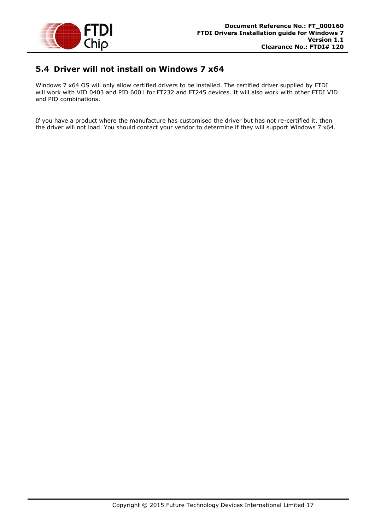

#### <span id="page-17-0"></span>**5.4 Driver will not install on Windows 7 x64**

Windows 7 x64 OS will only allow certified drivers to be installed. The certified driver supplied by FTDI will work with VID 0403 and PID 6001 for FT232 and FT245 devices. It will also work with other FTDI VID and PID combinations.

If you have a product where the manufacture has customised the driver but has not re-certified it, then the driver will not load. You should contact your vendor to determine if they will support Windows 7 x64.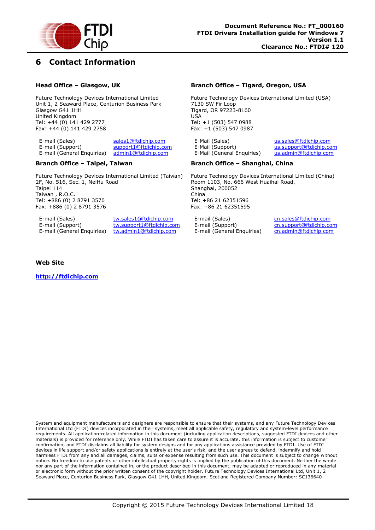

#### <span id="page-18-0"></span>**6 Contact Information**

#### **Head Office – Glasgow, UK**

Future Technology Devices International Limited Unit 1, 2 Seaward Place, Centurion Business Park Glasgow G41 1HH United Kingdom Tel: +44 (0) 141 429 2777 Fax: +44 (0) 141 429 2758

E-mail (Sales) [sales1@ftdichip.com](mailto:sales1@ftdichip.com) E-mail (Support) [support1@ftdichip.com](mailto:support1@ftdichip.com) E-mail (General Enquiries) [admin1@ftdichip.com](mailto:admin1@ftdichip.com)

#### **Branch Office – Taipei, Taiwan**

Future Technology Devices International Limited (Taiwan) 2F, No. 516, Sec. 1, NeiHu Road Taipei 114 Taiwan , R.O.C. Tel: +886 (0) 2 8791 3570 Fax: +886 (0) 2 8791 3576

E-mail (Sales) [tw.sales1@ftdichip.com](mailto:tw.sales1@ftdichip.com) E-mail (Support) [tw.support1@ftdichip.com](mailto:tw.support1@ftdichip.com) E-mail (General Enquiries) [tw.admin1@ftdichip.com](mailto:tw.admin1@ftdichip.com)

#### **Branch Office – Tigard, Oregon, USA**

Future Technology Devices International Limited (USA) 7130 SW Fir Loop Tigard, OR 97223-8160 USA Tel: +1 (503) 547 0988 Fax: +1 (503) 547 0987

E-Mail (Sales) [us.sales@ftdichip.com](mailto:us.sales@ftdichip.com) E-Mail (Support) [us.support@ftdichip.com](mailto:us.support@ftdichip.com) E-Mail (General Enquiries) [us.admin@ftdichip.com](mailto:us.admin@ftdichip.com)

#### **Branch Office – Shanghai, China**

Future Technology Devices International Limited (China) Room 1103, No. 666 West Huaihai Road, Shanghai, 200052 China Tel: +86 21 62351596 Fax: +86 21 62351595

E-mail (Sales) [cn.sales@ftdichip.com](mailto:cn.sales@ftdichip.com)<br>E-mail (Support) cn.support@ftdichip.com E-mail (General Enquiries) [cn.admin@ftdichip.com](mailto:cn.admin@ftdichip.com)

[cn.support@ftdichip.com](mailto:cn.support@ftdichip.com)

#### **Web Site**

**[http://ftdichip.com](http://ftdichip.com/)**

System and equipment manufacturers and designers are responsible to ensure that their systems, and any Future Technology Devices International Ltd (FTDI) devices incorporated in their systems, meet all applicable safety, regulatory and system-level performance requirements. All application-related information in this document (including application descriptions, suggested FTDI devices and other materials) is provided for reference only. While FTDI has taken care to assure it is accurate, this information is subject to customer confirmation, and FTDI disclaims all liability for system designs and for any applications assistance provided by FTDI. Use of FTDI devices in life support and/or safety applications is entirely at the user's risk, and the user agrees to defend, indemnify and hold harmless FTDI from any and all damages, claims, suits or expense resulting from such use. This document is subject to change without notice. No freedom to use patents or other intellectual property rights is implied by the publication of this document. Neither the whole nor any part of the information contained in, or the product described in this document, may be adapted or reproduced in any material or electronic form without the prior written consent of the copyright holder. Future Technology Devices International Ltd, Unit 1, 2 Seaward Place, Centurion Business Park, Glasgow G41 1HH, United Kingdom. Scotland Registered Company Number: SC136640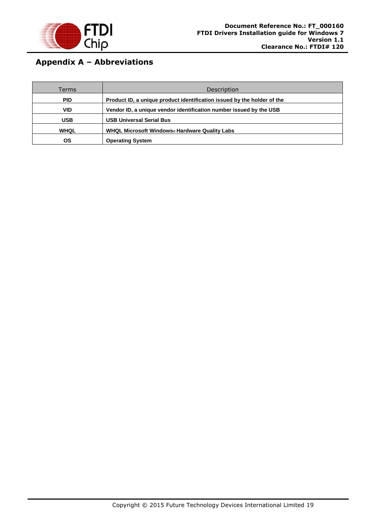

# <span id="page-19-0"></span>**Appendix A – Abbreviations**

| Terms       | <b>Description</b>                                                      |
|-------------|-------------------------------------------------------------------------|
| <b>PID</b>  | Product ID, a unique product identification issued by the holder of the |
| VID         | Vendor ID, a unique vendor identification number issued by the USB      |
| <b>USB</b>  | <b>USB Universal Serial Bus</b>                                         |
| <b>WHQL</b> | WHQL Microsoft Windows® Hardware Quality Labs                           |
| ΟS          | <b>Operating System</b>                                                 |